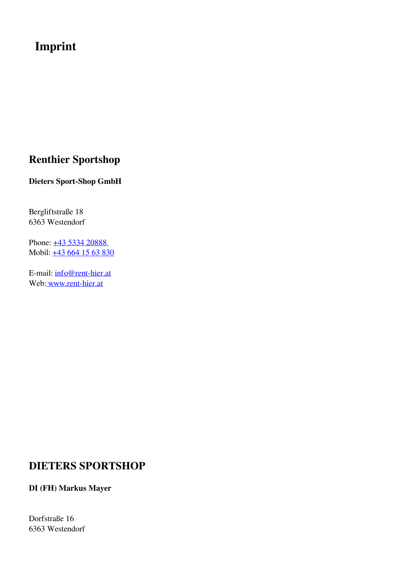# **Imprint**

## **Renthier Sportshop**

#### **Dieters Sport-Shop GmbH**

Bergliftstraße 18 6363 Westendorf

Phone:  $\pm 43$  5334 20888 Mobil:  $\frac{1}{+43,664}$  15 63 830

E-mail: [info@rent-hier.at](mailto:info@rent-hier.at) Web[: www.rent-hier.at](https://www.rent-hier.at/)

## **DIETERS SPORTSHOP**

**DI (FH) Markus Mayer**

Dorfstraße 16 6363 Westendorf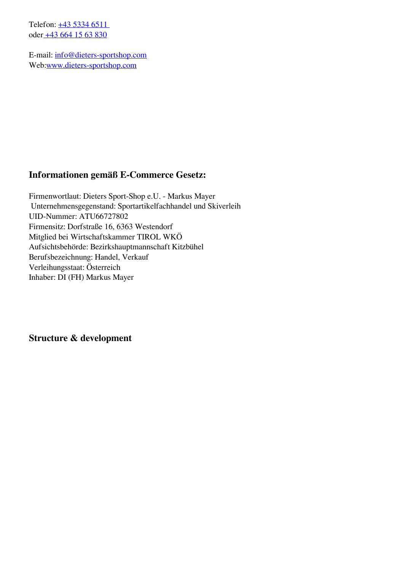Telefon: +43 5334 6511 oder [+43 664 15 63 830](tel:+436641563830)

E-mail: [info@dieters-sportshop.com](mailto:info@dieters-sportshop.com) Web[:www.dieters-sportshop.com](https://www.dieters-sportshop.com)

### **Informationen gemäß E-Commerce Gesetz:**

Firmenwortlaut: Dieters Sport-Shop e.U. - Markus Mayer Unternehmensgegenstand: Sportartikelfachhandel und Skiverleih UID-Nummer: ATU66727802 Firmensitz: Dorfstraße 16, 6363 Westendorf Mitglied bei Wirtschaftskammer TIROL WKÖ Aufsichtsbehörde: Bezirkshauptmannschaft Kitzbühel Berufsbezeichnung: Handel, Verkauf Verleihungsstaat: Österreich Inhaber: DI (FH) Markus Mayer

**Structure & development**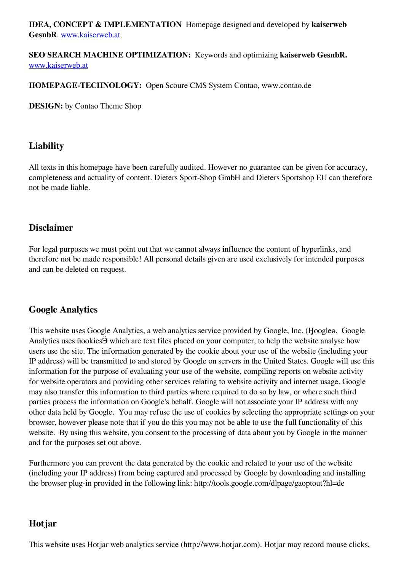**IDEA, CONCEPT & IMPLEMENTATION** Homepage designed and developed by **kaiserweb GesnbR**. [www.kaiserweb.at](https://www.kaiserweb.at/index.php/webseitenoptimierung-suchmaschinenoptimierung-tirol.html)

#### **SEO SEARCH MACHINE OPTIMIZATION:** Keywords and optimizing **kaiserweb GesnbR.** [www.kaiserweb.at](https://www.kaiserweb.at/index.php/google-ranking-verbessern.html)

#### **HOMEPAGE-TECHNOLOGY:** Open Scoure CMS System Contao, www.contao.de

**DESIGN:** by Contao Theme Shop

### **Liability**

All texts in this homepage have been carefully audited. However no guarantee can be given for accuracy, completeness and actuality of content. Dieters Sport-Shop GmbH and Dieters Sportshop EU can therefore not be made liable.

### **Disclaimer**

For legal purposes we must point out that we cannot always influence the content of hyperlinks, and therefore not be made responsible! All personal details given are used exclusively for intended purposes and can be deleted on request.

#### **Google Analytics**

This website uses Google Analytics, a web analytics service provided by Google, Inc. (Ӈoogleө. Google Analytics uses ӣookiesӬ which are text files placed on your computer, to help the website analyse how users use the site. The information generated by the cookie about your use of the website (including your IP address) will be transmitted to and stored by Google on servers in the United States. Google will use this information for the purpose of evaluating your use of the website, compiling reports on website activity for website operators and providing other services relating to website activity and internet usage. Google may also transfer this information to third parties where required to do so by law, or where such third parties process the information on Google's behalf. Google will not associate your IP address with any other data held by Google. You may refuse the use of cookies by selecting the appropriate settings on your browser, however please note that if you do this you may not be able to use the full functionality of this website. By using this website, you consent to the processing of data about you by Google in the manner and for the purposes set out above.

Furthermore you can prevent the data generated by the cookie and related to your use of the website (including your IP address) from being captured and processed by Google by downloading and installing the browser plug-in provided in the following link: http://tools.google.com/dlpage/gaoptout?hl=de

#### **Hotjar**

This website uses Hotjar web analytics service (http://www.hotjar.com). Hotjar may record mouse clicks,